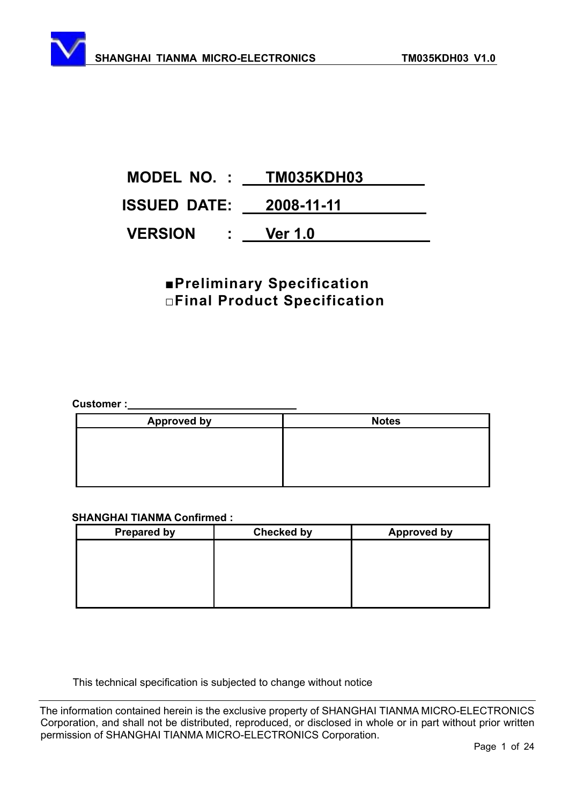# **MODEL NO. : TM035KDH03 ISSUED DATE: 2008-11-11 VERSION : Ver 1.0**

# **<u>EPreliminary Specification</u> ƑFinal Product Specification**

**Customer :** 

| <b>Approved by</b> | <b>Notes</b> |
|--------------------|--------------|
|                    |              |
|                    |              |
|                    |              |
|                    |              |

#### **SHANGHAI TIANMA Confirmed :**

| <b>Prepared by</b> | <b>Checked by</b> | <b>Approved by</b> |
|--------------------|-------------------|--------------------|
|                    |                   |                    |
|                    |                   |                    |
|                    |                   |                    |
|                    |                   |                    |
|                    |                   |                    |

This technical specification is subjected to change without notice

The information contained herein is the exclusive property of SHANGHAI TIANMA MICRO-ELECTRONICS Corporation, and shall not be distributed, reproduced, or disclosed in whole or in part without prior written permission of SHANGHAI TIANMA MICRO-ELECTRONICS Corporation.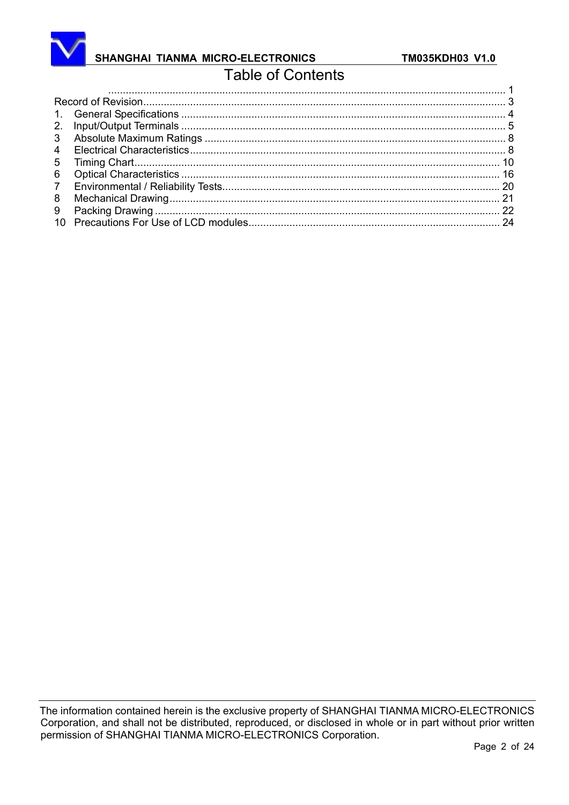

# SHANGHAI TIANMA MICRO-ELECTRONICS

# **Table of Contents**

| 3               |  |
|-----------------|--|
| $\overline{4}$  |  |
| $5^{\circ}$     |  |
| 6               |  |
| $7\overline{ }$ |  |
| 8               |  |
| 9               |  |
|                 |  |
|                 |  |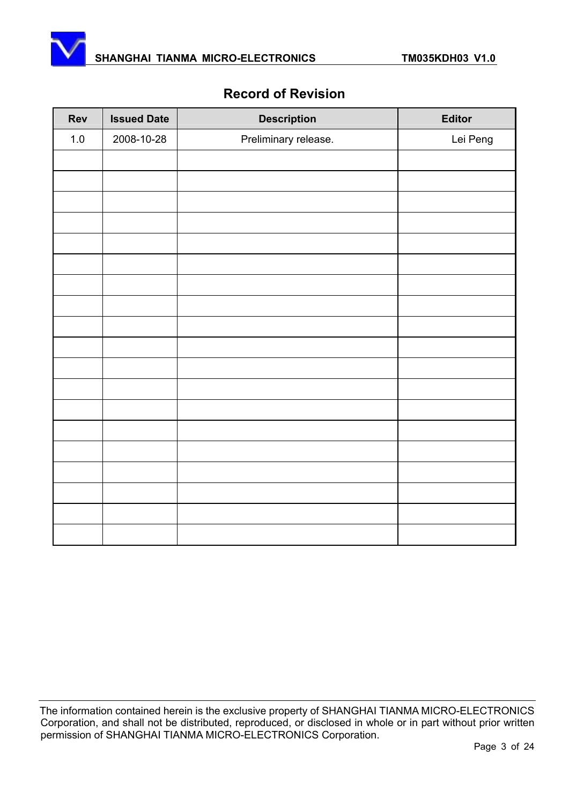



### **Record of Revision**

| Rev   | <b>Issued Date</b> | <b>Description</b>   | Editor   |
|-------|--------------------|----------------------|----------|
| $1.0$ | 2008-10-28         | Preliminary release. | Lei Peng |
|       |                    |                      |          |
|       |                    |                      |          |
|       |                    |                      |          |
|       |                    |                      |          |
|       |                    |                      |          |
|       |                    |                      |          |
|       |                    |                      |          |
|       |                    |                      |          |
|       |                    |                      |          |
|       |                    |                      |          |
|       |                    |                      |          |
|       |                    |                      |          |
|       |                    |                      |          |
|       |                    |                      |          |
|       |                    |                      |          |
|       |                    |                      |          |
|       |                    |                      |          |
|       |                    |                      |          |
|       |                    |                      |          |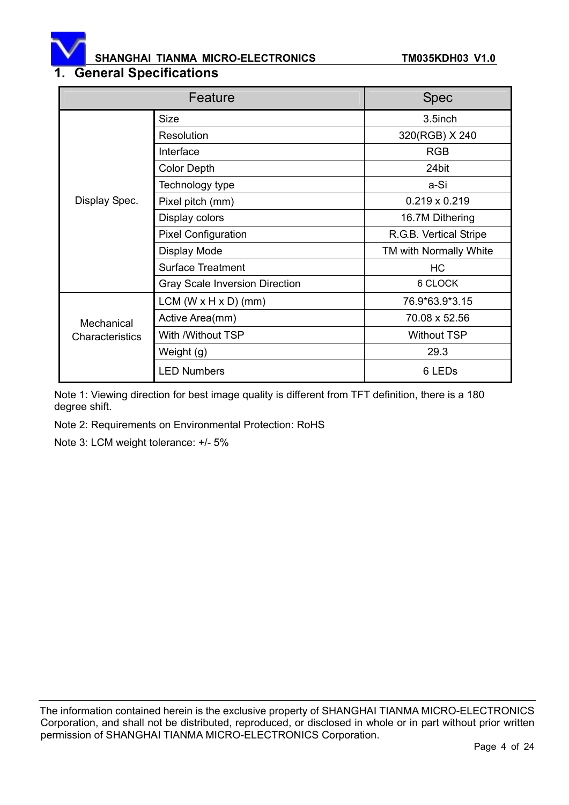

# **1. General Specifications**

|                 | Feature                               |                        |  |
|-----------------|---------------------------------------|------------------------|--|
|                 | <b>Size</b>                           | 3.5inch                |  |
|                 | Resolution                            | 320(RGB) X 240         |  |
|                 | Interface                             | <b>RGB</b>             |  |
|                 | <b>Color Depth</b>                    | 24bit                  |  |
|                 | Technology type                       | a-Si                   |  |
| Display Spec.   | Pixel pitch (mm)                      | $0.219 \times 0.219$   |  |
|                 | Display colors                        | 16.7M Dithering        |  |
|                 | <b>Pixel Configuration</b>            | R.G.B. Vertical Stripe |  |
|                 | Display Mode                          | TM with Normally White |  |
|                 | <b>Surface Treatment</b>              | НC                     |  |
|                 | <b>Gray Scale Inversion Direction</b> | 6 CLOCK                |  |
|                 | $LCM (W \times H \times D) (mm)$      | 76.9*63.9*3.15         |  |
| Mechanical      | Active Area(mm)                       | 70.08 x 52.56          |  |
| Characteristics | With /Without TSP                     | <b>Without TSP</b>     |  |
|                 | Weight (g)                            | 29.3                   |  |
|                 | <b>LED Numbers</b>                    | 6 LED <sub>s</sub>     |  |

Note 1: Viewing direction for best image quality is different from TFT definition, there is a 180 degree shift.

Note 2: Requirements on Environmental Protection: RoHS

Note 3: LCM weight tolerance: +/- 5%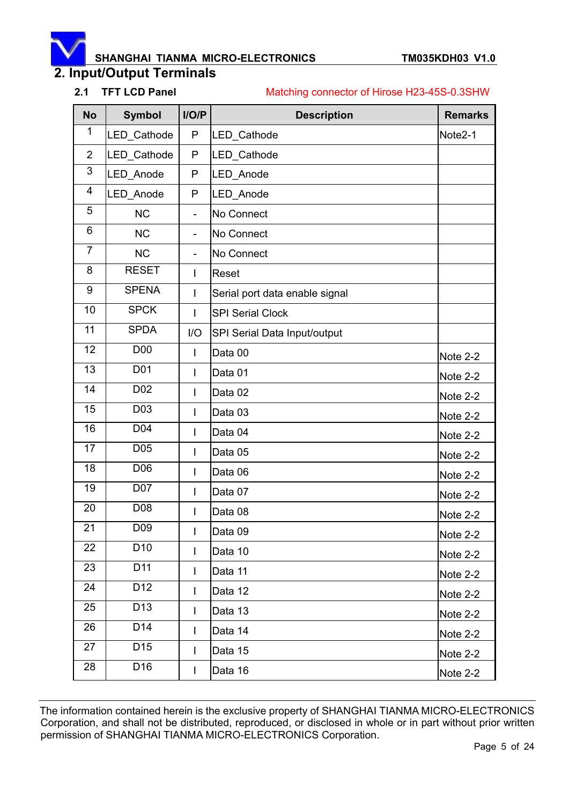# **2. Input/Output Terminals**

#### **2.1 TFT LCD Panel** Matching connector of Hirose H23-45S-0.3SHW

| <b>No</b>      | <b>Symbol</b>   | I/O/P                    | <b>Description</b>             | <b>Remarks</b> |  |  |
|----------------|-----------------|--------------------------|--------------------------------|----------------|--|--|
| 1              | LED_Cathode     | P                        | LED Cathode                    | Note2-1        |  |  |
| $\overline{2}$ | LED_Cathode     | P                        | LED_Cathode                    |                |  |  |
| 3              | LED_Anode       | P                        | LED Anode                      |                |  |  |
| 4              | LED Anode       | P                        | LED Anode                      |                |  |  |
| 5              | <b>NC</b>       | ÷,                       | No Connect                     |                |  |  |
| 6              | <b>NC</b>       | $\overline{\phantom{a}}$ | No Connect                     |                |  |  |
| $\overline{7}$ | <b>NC</b>       | $\overline{\phantom{0}}$ | No Connect                     |                |  |  |
| 8              | <b>RESET</b>    | I                        | Reset                          |                |  |  |
| 9              | <b>SPENA</b>    | T                        | Serial port data enable signal |                |  |  |
| 10             | <b>SPCK</b>     | I                        | <b>SPI Serial Clock</b>        |                |  |  |
| 11             | <b>SPDA</b>     | I/O                      | SPI Serial Data Input/output   |                |  |  |
| 12             | <b>D00</b>      | T                        | Data 00                        | Note 2-2       |  |  |
| 13             | D01             | I                        | Data 01                        | Note 2-2       |  |  |
| 14             | D <sub>02</sub> | I                        | Data 02                        | Note 2-2       |  |  |
| 15             | D <sub>03</sub> | T                        | Data 03                        | Note 2-2       |  |  |
| 16             | D04             | I                        | Data 04                        | Note 2-2       |  |  |
| 17             | D05             | I                        | Data 05                        | Note 2-2       |  |  |
| 18             | D06             | I                        | Data 06                        | Note 2-2       |  |  |
| 19             | D07             | I                        | Data 07                        | Note 2-2       |  |  |
| 20             | D08             | I                        | Data 08                        | Note 2-2       |  |  |
| 21             | D <sub>09</sub> | L                        | Data 09                        | Note 2-2       |  |  |
| 22             | D <sub>10</sub> | L                        | Data 10                        | Note 2-2       |  |  |
| 23             | D11             | $\mathsf{I}$             | Data 11                        | Note 2-2       |  |  |
| 24             | D <sub>12</sub> | I                        | Data 12                        | Note 2-2       |  |  |
| 25             | D <sub>13</sub> | L                        | Data 13                        | Note 2-2       |  |  |
| 26             | D <sub>14</sub> | I                        | Data 14                        | Note 2-2       |  |  |
| 27             | D <sub>15</sub> | $\mathbf{I}$             | Data 15                        | Note 2-2       |  |  |
| 28             | D <sub>16</sub> | I                        | Data 16                        | Note 2-2       |  |  |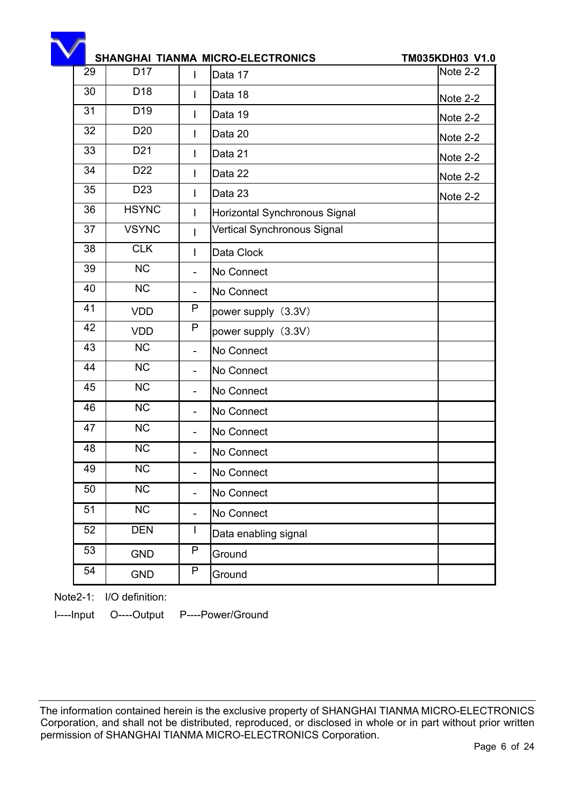|    |                        |                          | SHANGHAI TIANMA MICRO-ELECTRONICS | TM035KDH03 V1.0 |
|----|------------------------|--------------------------|-----------------------------------|-----------------|
| 29 | D <sub>17</sub>        | L                        | Data 17                           | Note 2-2        |
| 30 | D <sub>18</sub>        | L                        | Data 18                           | Note 2-2        |
| 31 | D <sub>19</sub>        | T                        | Data 19                           | Note 2-2        |
| 32 | D <sub>20</sub>        | $\mathbf{I}$             | Data 20                           | Note 2-2        |
| 33 | D <sub>21</sub>        | $\mathsf{I}$             | Data 21                           | Note 2-2        |
| 34 | D <sub>22</sub>        | $\mathbf{I}$             | Data 22                           | Note 2-2        |
| 35 | D <sub>23</sub>        | $\mathbf{I}$             | Data 23                           | Note 2-2        |
| 36 | <b>HSYNC</b>           | I                        | Horizontal Synchronous Signal     |                 |
| 37 | <b>VSYNC</b>           | $\mathbf{I}$             | Vertical Synchronous Signal       |                 |
| 38 | <b>CLK</b>             | T                        | Data Clock                        |                 |
| 39 | <b>NC</b>              | $\overline{\phantom{a}}$ | No Connect                        |                 |
| 40 | <b>NC</b>              |                          | No Connect                        |                 |
| 41 | <b>VDD</b>             | P                        | power supply (3.3V)               |                 |
| 42 | <b>VDD</b>             | P                        | power supply (3.3V)               |                 |
| 43 | <b>NC</b>              | $\overline{\phantom{a}}$ | No Connect                        |                 |
| 44 | <b>NC</b>              |                          | No Connect                        |                 |
| 45 | <b>NC</b>              |                          | No Connect                        |                 |
| 46 | <b>NC</b>              |                          | No Connect                        |                 |
| 47 | <b>NC</b>              |                          | No Connect                        |                 |
| 48 | <b>NC</b>              |                          | No Connect                        |                 |
| 49 | NC                     |                          | No Connect                        |                 |
| 50 | NC                     |                          | No Connect                        |                 |
| 51 | $\overline{\text{NC}}$ |                          | No Connect                        |                 |
| 52 | <b>DEN</b>             | $\mathbf{I}$             | Data enabling signal              |                 |
| 53 | <b>GND</b>             | P                        | Ground                            |                 |
| 54 | <b>GND</b>             | P                        | Ground                            |                 |

Note2-1: I/O definition:

I----Input O----Output P----Power/Ground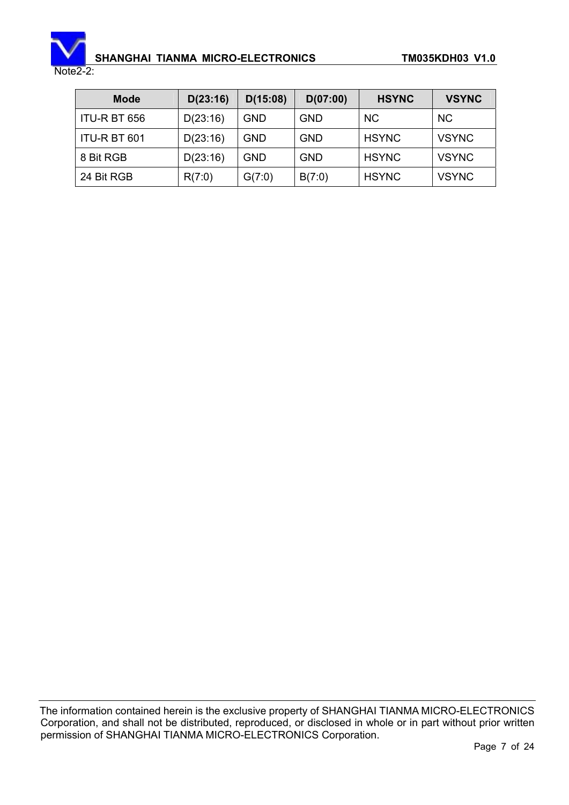

Note2-2:

| <b>Mode</b>  | D(23:16) | D(15:08)   | D(07:00)   | <b>HSYNC</b> | <b>VSYNC</b> |
|--------------|----------|------------|------------|--------------|--------------|
| ITU-R BT 656 | D(23:16) | <b>GND</b> | <b>GND</b> | <b>NC</b>    | <b>NC</b>    |
| ITU-R BT 601 | D(23:16) | <b>GND</b> | <b>GND</b> | <b>HSYNC</b> | <b>VSYNC</b> |
| 8 Bit RGB    | D(23:16) | <b>GND</b> | <b>GND</b> | <b>HSYNC</b> | <b>VSYNC</b> |
| 24 Bit RGB   | R(7:0)   | G(7:0)     | B(7:0)     | <b>HSYNC</b> | <b>VSYNC</b> |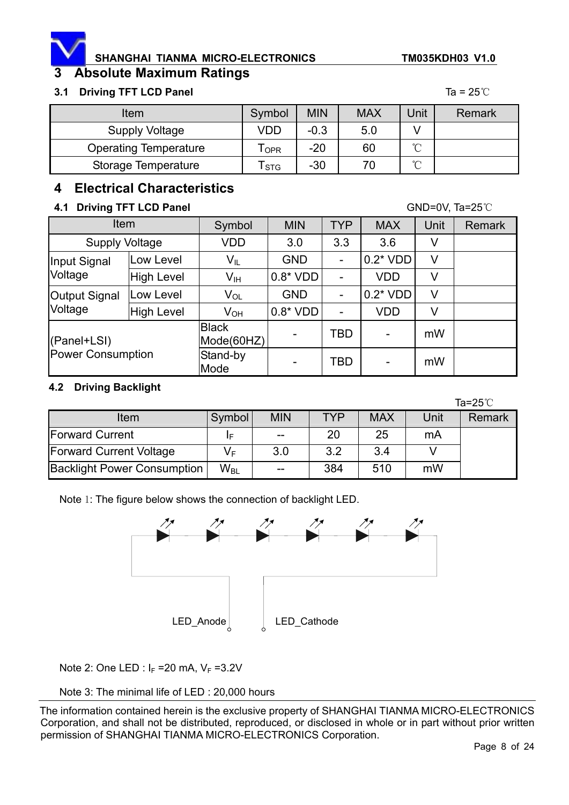

# **3 Absolute Maximum Ratings**

#### **3.1 Driving TFT LCD Panel Ta = 25<sup>°</sup>C**

| <b>Item</b>                  | Symbol     | <b>MIN</b> | <b>MAX</b> | Unit        | Remark |
|------------------------------|------------|------------|------------|-------------|--------|
| Supply Voltage               | VDD        | $-0.3$     | 5.0        |             |        |
| <b>Operating Temperature</b> | OPR        | $-20$      | 60         | $\sim$<br>◡ |        |
| Storage Temperature          | <b>STG</b> | $-30$      | 70         | $\sim$<br>◡ |        |

### **4 Electrical Characteristics**

#### **4.1 Driving TFT LCD Panel GND=0V, Ta=25<sup>°C</sup>**

|                          | Item              |                            | <b>MIN</b> | <b>TYP</b>               | <b>MAX</b> | <b>Unit</b> | <b>Remark</b> |
|--------------------------|-------------------|----------------------------|------------|--------------------------|------------|-------------|---------------|
| <b>Supply Voltage</b>    |                   | VDD                        | 3.0        | 3.3                      | 3.6        | V           |               |
| Input Signal             | Low Level         | $V_{IL}$                   | <b>GND</b> |                          | $0.2*VDD$  | V           |               |
| Voltage                  | High Level        | $V_{\text{IH}}$            | $0.8*VDD$  |                          | <b>VDD</b> | V           |               |
| <b>Output Signal</b>     | Low Level         | $V_{OL}$                   | <b>GND</b> |                          | $0.2*VDD$  | V           |               |
| Voltage                  | <b>High Level</b> | $V_{OH}$                   | $0.8*VDD$  | $\overline{\phantom{0}}$ | <b>VDD</b> | V           |               |
| (Panel+LSI)              |                   | <b>Black</b><br>Mode(60HZ) |            | TBD                      |            | mW          |               |
| <b>Power Consumption</b> |                   | Stand-by<br>Mode           |            | TBD                      |            | mW          |               |

#### **4.2 Driving Backlight**

|                                    |          |            |            |            |      | Ta= $25^{\circ}$ C |
|------------------------------------|----------|------------|------------|------------|------|--------------------|
| Item                               | Symbol   | <b>MIN</b> | <b>TYP</b> | <b>MAX</b> | Unit | Remark             |
| <b>Forward Current</b>             | IF       | $- -$      | 20         | 25         | mA   |                    |
| <b>Forward Current Voltage</b>     | V⊧       | 3.0        | 3.2        | 3.4        |      |                    |
| <b>Backlight Power Consumption</b> | $W_{BL}$ | $- -$      | 384        | 510        | mW   |                    |

Note 1: The figure below shows the connection of backlight LED.



Note 2: One LED :  $I_F = 20$  mA,  $V_F = 3.2V$ 

#### Note 3: The minimal life of LED : 20,000 hours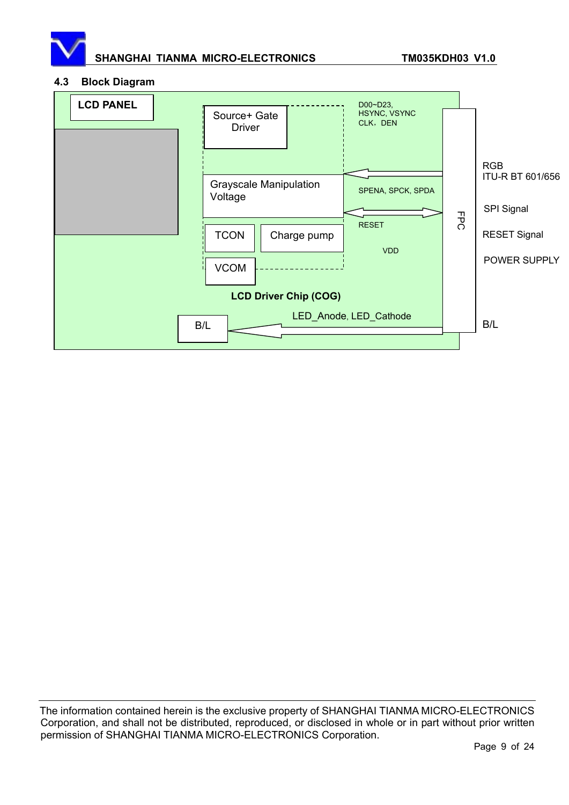

#### **4.3 Block Diagram**

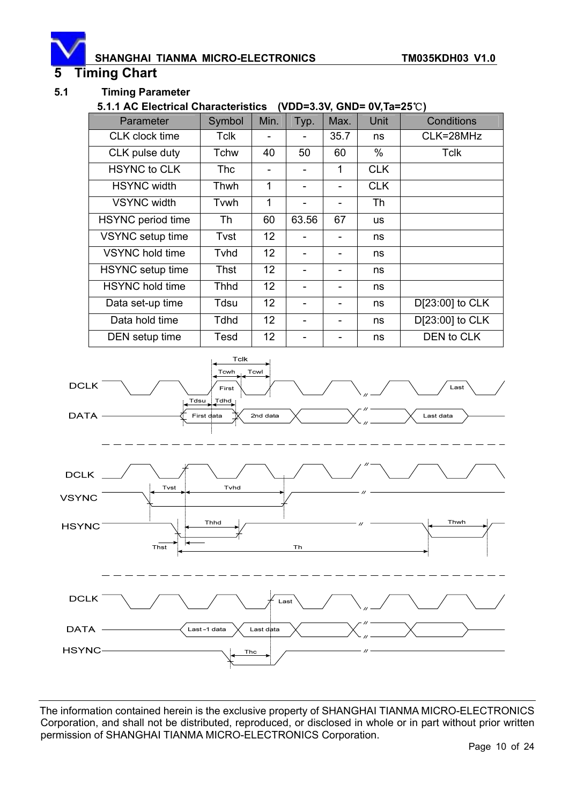#### **5 Timing Chart**

#### **5.1 Timing Parameter**

#### **5.1.1 AC Electrical Characteristics (VDD=3.3V, GND= 0V, Ta=25°C)**

| Parameter                | Symbol      | Min.            | Typ.                         | Max. | Unit       | Conditions      |
|--------------------------|-------------|-----------------|------------------------------|------|------------|-----------------|
| CLK clock time           | Tclk        |                 |                              | 35.7 | ns         | CLK=28MHz       |
| CLK pulse duty           | Tchw        | 40              | 50                           | 60   | $\%$       | Tclk            |
| <b>HSYNC to CLK</b>      | Thc         |                 | $\qquad \qquad \blacksquare$ | 1    | <b>CLK</b> |                 |
| <b>HSYNC</b> width       | Thwh        | 1               |                              |      | <b>CLK</b> |                 |
| <b>VSYNC</b> width       | Tvwh        | 1               |                              |      | Th         |                 |
| <b>HSYNC</b> period time | Th          | 60              | 63.56                        | 67   | <b>us</b>  |                 |
| VSYNC setup time         | Tvst        | 12 <sup>2</sup> |                              |      | ns         |                 |
| <b>VSYNC</b> hold time   | Tvhd        | 12              |                              |      | ns         |                 |
| HSYNC setup time         | Thst        | 12 <sup>2</sup> |                              | -    | ns         |                 |
| <b>HSYNC</b> hold time   | <b>Thhd</b> | 12 <sup>2</sup> |                              |      | ns         |                 |
| Data set-up time         | Tdsu        | 12              |                              |      | ns         | D[23:00] to CLK |
| Data hold time           | <b>Tdhd</b> | 12 <sup>2</sup> |                              | -    | ns         | D[23:00] to CLK |
| DEN setup time           | Tesd        | 12 <sup>2</sup> |                              |      | ns         | DEN to CLK      |

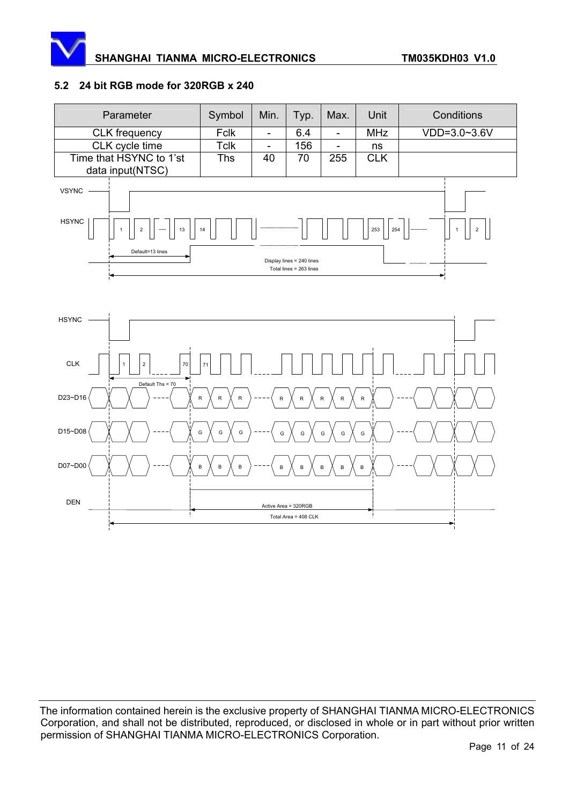

#### **5.2 24 bit RGB mode for 320RGB x 240**

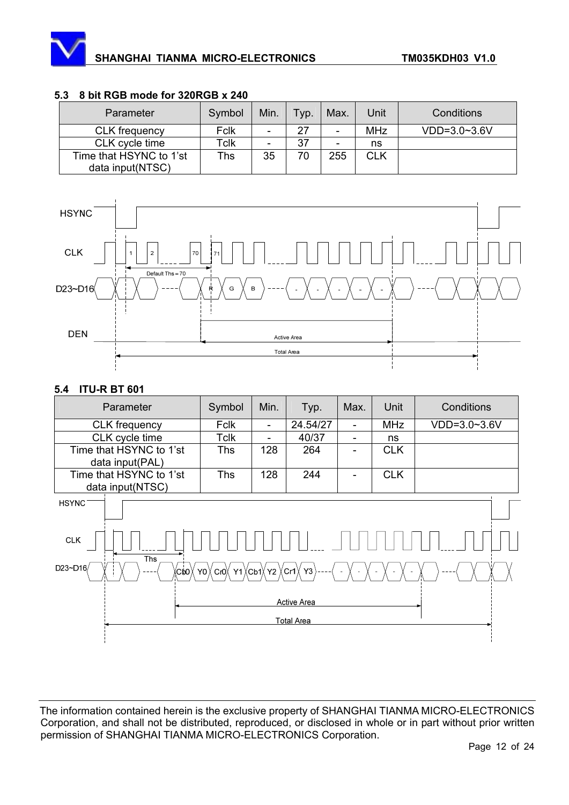| Parameter                                   | Symbol | Min.                     | Typ. | Max.                     | Unit       | Conditions   |  |  |
|---------------------------------------------|--------|--------------------------|------|--------------------------|------------|--------------|--|--|
| <b>CLK</b> frequency                        | Fclk   | $\overline{\phantom{a}}$ | 27   | $\overline{\phantom{0}}$ | <b>MHz</b> | VDD=3.0~3.6V |  |  |
| CLK cycle time                              | Tclk   | -                        | 37   | ٠                        | ns         |              |  |  |
| Time that HSYNC to 1'st<br>data input(NTSC) | ™hs    | 35                       | 70   | 255                      | <b>CLK</b> |              |  |  |

#### **5.3 8 bit RGB mode for 320RGB x 240**



#### **5.4 ITU-R BT 601**

| Parameter                                   | Symbol | Min. | Typ.     | Max. | Unit       | Conditions     |
|---------------------------------------------|--------|------|----------|------|------------|----------------|
| CLK frequency                               | Fclk   | -    | 24.54/27 | ۰    | <b>MHz</b> | $VDD=3.0~3.6V$ |
| CLK cycle time                              | Tclk   |      | 40/37    | ٠    | ns         |                |
| Time that HSYNC to 1'st<br>data input(PAL)  | Ths    | 128  | 264      |      | <b>CLK</b> |                |
| Time that HSYNC to 1'st<br>data input(NTSC) | Ths    | 128  | 244      | -    | CLK        |                |

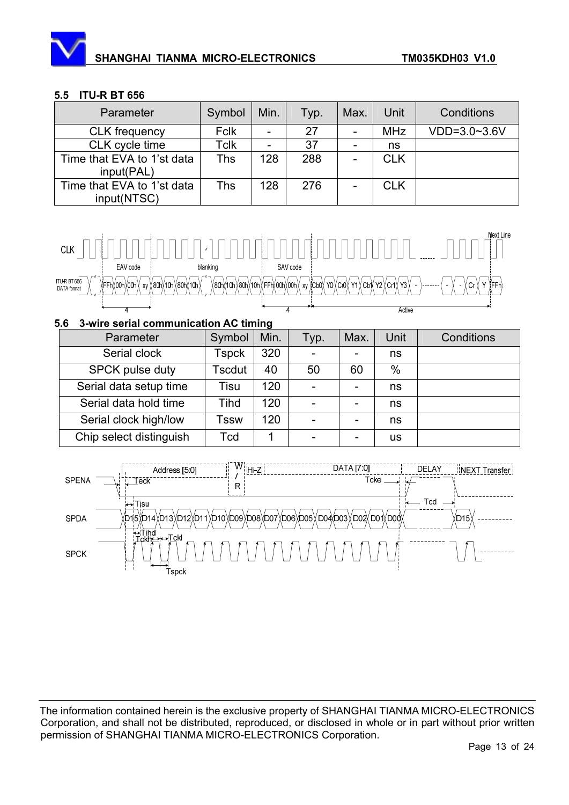#### **5.5 ITU-R BT 656**

| Parameter                                 | Symbol      | Min.                     | Typ. | Max. | Unit       | Conditions     |
|-------------------------------------------|-------------|--------------------------|------|------|------------|----------------|
| <b>CLK</b> frequency                      | <b>Fclk</b> | $\overline{\phantom{0}}$ | 27   | -    | <b>MHz</b> | $VDD=3.0~3.6V$ |
| CLK cycle time                            | Tclk        | $\qquad \qquad -$        | 37   | -    | ns         |                |
| Time that EVA to 1'st data<br>input(PAL)  | Ths         | 128                      | 288  |      | <b>CLK</b> |                |
| Time that EVA to 1'st data<br>input(NTSC) | Ths         | 128                      | 276  |      | <b>CLK</b> |                |



#### **5.6 3-wire serial communication AC timing**

| Parameter               | Symbol       | Min. | Typ. | Max. | Unit          | Conditions |
|-------------------------|--------------|------|------|------|---------------|------------|
| Serial clock            | <b>Tspck</b> | 320  |      |      | ns            |            |
| <b>SPCK pulse duty</b>  | Tscdut       | 40   | 50   | 60   | $\frac{0}{0}$ |            |
| Serial data setup time  | Tisu         | 120  |      |      | ns            |            |
| Serial data hold time   | Tihd         | 120  |      |      | ns            |            |
| Serial clock high/low   | Tssw         | 120  |      | -    | ns            |            |
| Chip select distinguish | Tcd          |      |      |      | us            |            |

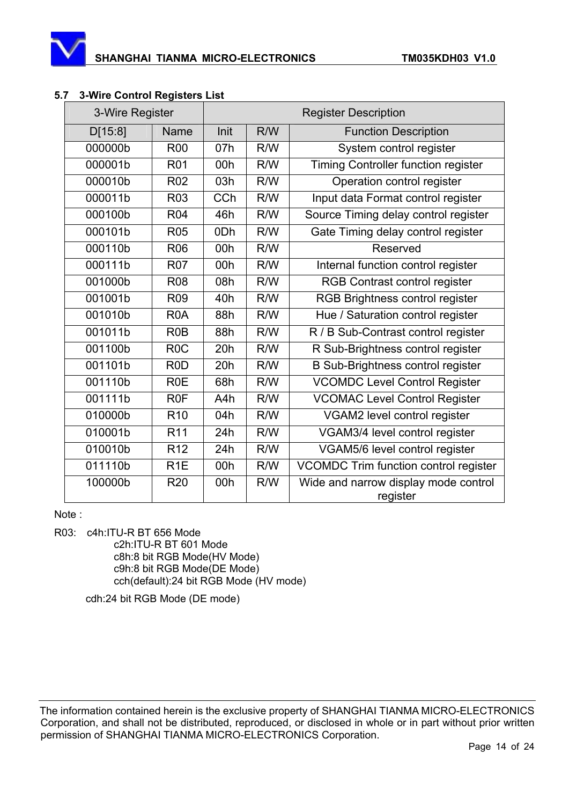

| 3-Wire Register |                  |                 | <b>Register Description</b> |                                                  |
|-----------------|------------------|-----------------|-----------------------------|--------------------------------------------------|
| D[15:8]         | Name             | Init            | R/W                         | <b>Function Description</b>                      |
| 000000b         | <b>R00</b>       | 07h             | R/W                         | System control register                          |
| 000001b         | R01              | 00h             | R/W                         | Timing Controller function register              |
| 000010b         | <b>R02</b>       | 03h             | R/W                         | Operation control register                       |
| 000011b         | R <sub>03</sub>  | CCh             | R/W                         | Input data Format control register               |
| 000100b         | R04              | 46h             | R/W                         | Source Timing delay control register             |
| 000101b         | <b>R05</b>       | 0 <sub>Dh</sub> | R/W                         | Gate Timing delay control register               |
| 000110b         | <b>R06</b>       | 00h             | R/W                         | Reserved                                         |
| 000111b         | <b>R07</b>       | 00h             | R/W                         | Internal function control register               |
| 001000b         | <b>R08</b>       | 08h             | R/W                         | RGB Contrast control register                    |
| 001001b         | <b>R09</b>       | 40h             | R/W                         | RGB Brightness control register                  |
| 001010b         | R <sub>0</sub> A | 88h             | R/W                         | Hue / Saturation control register                |
| 001011b         | R <sub>0</sub> B | 88h             | R/W                         | R / B Sub-Contrast control register              |
| 001100b         | R <sub>0</sub> C | 20h             | R/W                         | R Sub-Brightness control register                |
| 001101b         | R <sub>0</sub> D | 20h             | R/W                         | <b>B Sub-Brightness control register</b>         |
| 001110b         | <b>R0E</b>       | 68h             | R/W                         | <b>VCOMDC Level Control Register</b>             |
| 001111b         | R <sub>0</sub> F | A4h             | R/W                         | <b>VCOMAC Level Control Register</b>             |
| 010000b         | R <sub>10</sub>  | 04h             | R/W                         | VGAM2 level control register                     |
| 010001b         | R <sub>11</sub>  | 24h             | R/W                         | VGAM3/4 level control register                   |
| 010010b         | R <sub>12</sub>  | 24h             | R/W                         | VGAM5/6 level control register                   |
| 011110b         | R <sub>1</sub> E | 00h             | R/W                         | VCOMDC Trim function control register            |
| 100000b         | <b>R20</b>       | 00h             | R/W                         | Wide and narrow display mode control<br>register |

#### **5.7 3-Wire Control Registers List**

Note :

R03: c4h:ITU-R BT 656 Mode

c2h:ITU-R BT 601 Mode c8h:8 bit RGB Mode(HV Mode) c9h:8 bit RGB Mode(DE Mode) cch(default):24 bit RGB Mode (HV mode)

cdh:24 bit RGB Mode (DE mode)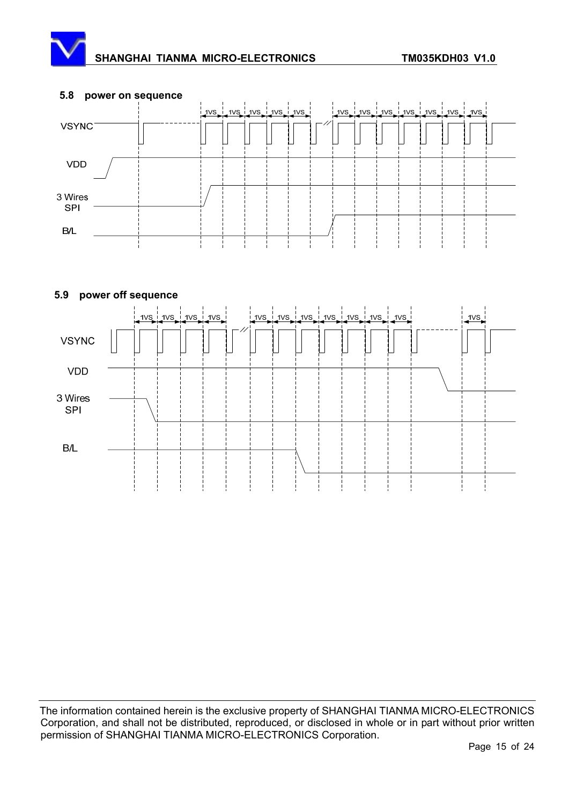

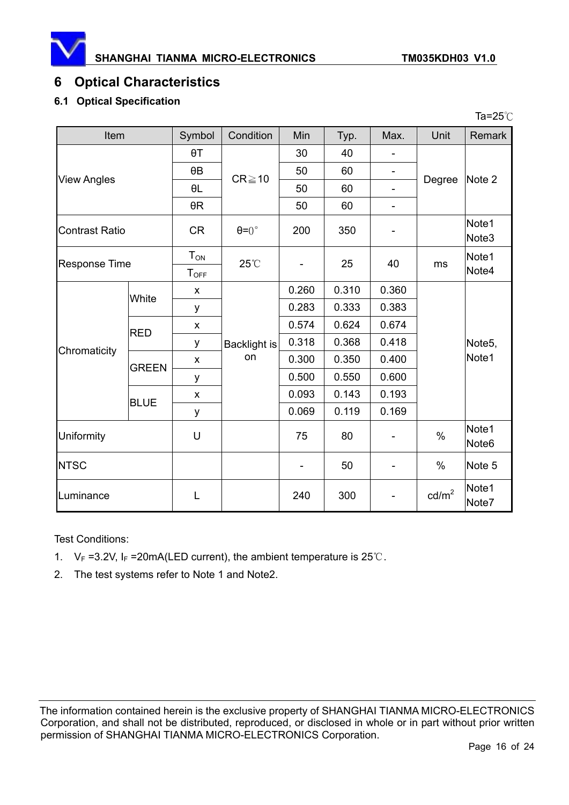

Ta= $25^\circ$ C

# **6 Optical Characteristics**

#### **6.1 Optical Specification**

| Item                  |                                                 | Symbol                | Condition          | Min   | Typ.  | Max.                       | Unit                 | Remark                     |
|-----------------------|-------------------------------------------------|-----------------------|--------------------|-------|-------|----------------------------|----------------------|----------------------------|
|                       |                                                 | $\theta T$            |                    | 30    | 40    |                            |                      |                            |
|                       |                                                 | $\theta$ B            | $CR \ge 10$        | 50    | 60    | $\overline{\phantom{a}}$   |                      |                            |
| <b>View Angles</b>    |                                                 | $\theta L$            |                    | 50    | 60    | $\overline{\phantom{0}}$   | Degree               | Note 2                     |
|                       |                                                 | $\theta R$            |                    | 50    | 60    | ÷,                         |                      |                            |
| <b>Contrast Ratio</b> | <b>CR</b><br>$\theta = 0^{\circ}$<br>200<br>350 |                       |                    |       |       | Note1<br>Note <sub>3</sub> |                      |                            |
| <b>Response Time</b>  |                                                 | $T_{ON}$<br>$T_{OFF}$ | 25°C               |       | 25    | 40                         | Note1<br>ms<br>Note4 |                            |
|                       | White                                           | X                     |                    | 0.260 | 0.310 | 0.360                      |                      |                            |
|                       |                                                 | у                     | Backlight is<br>on | 0.283 | 0.333 | 0.383                      |                      |                            |
|                       | <b>RED</b>                                      | X                     |                    | 0.574 | 0.624 | 0.674                      |                      |                            |
| Chromaticity          |                                                 | у                     |                    | 0.318 | 0.368 | 0.418                      |                      | Note <sub>5</sub> ,        |
|                       | <b>GREEN</b>                                    | X                     |                    | 0.300 | 0.350 | 0.400                      |                      | Note1                      |
|                       |                                                 | у                     |                    | 0.500 | 0.550 | 0.600                      |                      |                            |
|                       | <b>BLUE</b>                                     | X                     |                    | 0.093 | 0.143 | 0.193                      |                      |                            |
|                       |                                                 | у                     |                    | 0.069 | 0.119 | 0.169                      |                      |                            |
| Uniformity            |                                                 | U                     |                    | 75    | 80    |                            | $\%$                 | Note1<br>Note <sub>6</sub> |
| <b>NTSC</b>           |                                                 |                       |                    |       | 50    |                            | %                    | Note 5                     |
| Luminance             |                                                 | L                     |                    | 240   | 300   |                            | $\text{cd/m}^2$      | Note1<br>Note7             |

Test Conditions:

- 1.  $V_F = 3.2V$ ,  $I_F = 20mA(LED current)$ , the ambient temperature is 25°C.
- 2. The test systems refer to Note 1 and Note2.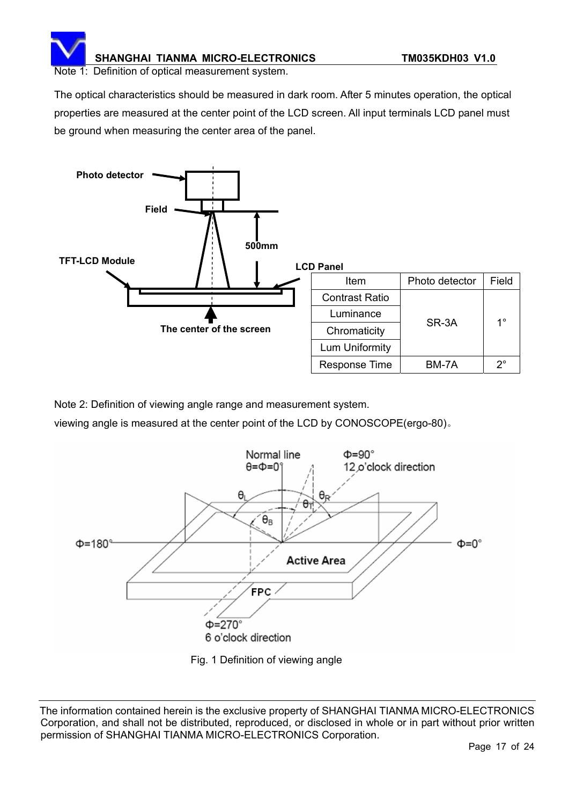Note 1: Definition of optical measurement system.

The optical characteristics should be measured in dark room. After 5 minutes operation, the optical properties are measured at the center point of the LCD screen. All input terminals LCD panel must be ground when measuring the center area of the panel.



Note 2: Definition of viewing angle range and measurement system.

viewing angle is measured at the center point of the LCD by CONOSCOPE(ergo-80).



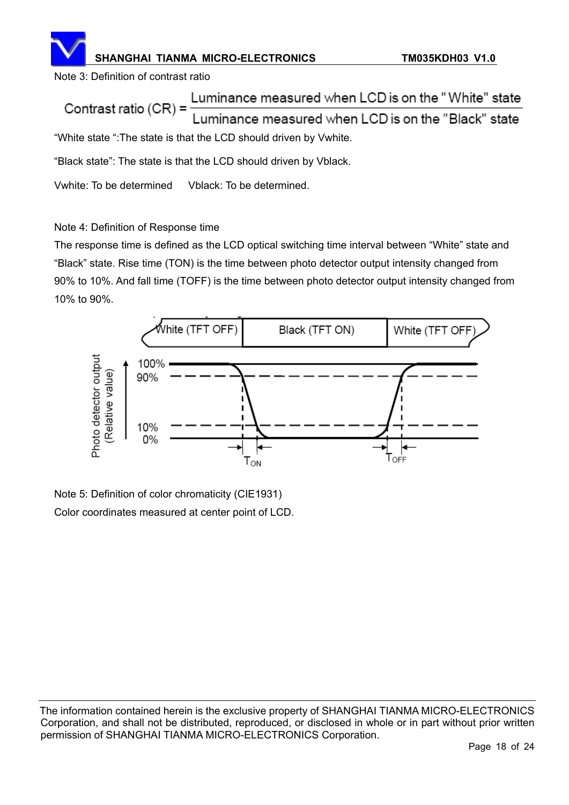Note 3: Definition of contrast ratio

Luminance measured when LCD is on the "White" state Contrast ratio  $(CR)$  = Luminance measured when LCD is on the "Black" state "White state ":The state is that the LCD should driven by Vwhite.

"Black state": The state is that the LCD should driven by Vblack.

Vwhite: To be determined Vblack: To be determined.

#### Note 4: Definition of Response time

The response time is defined as the LCD optical switching time interval between "White" state and "Black" state. Rise time (TON) is the time between photo detector output intensity changed from 90% to 10%. And fall time (TOFF) is the time between photo detector output intensity changed from 10% to 90%.



Note 5: Definition of color chromaticity (CIE1931) Color coordinates measured at center point of LCD.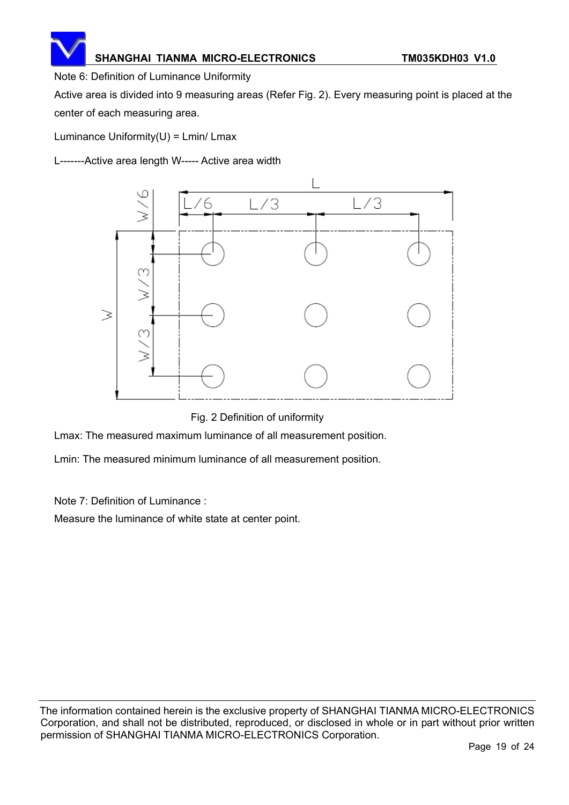Note 6: Definition of Luminance Uniformity

Active area is divided into 9 measuring areas (Refer Fig. 2). Every measuring point is placed at the center of each measuring area.

Luminance Uniformity $(U)$  = Lmin/ Lmax

L-------Active area length W----- Active area width



Fig. 2 Definition of uniformity

Lmax: The measured maximum luminance of all measurement position.

Lmin: The measured minimum luminance of all measurement position.

Note 7: Definition of Luminance :

Measure the luminance of white state at center point.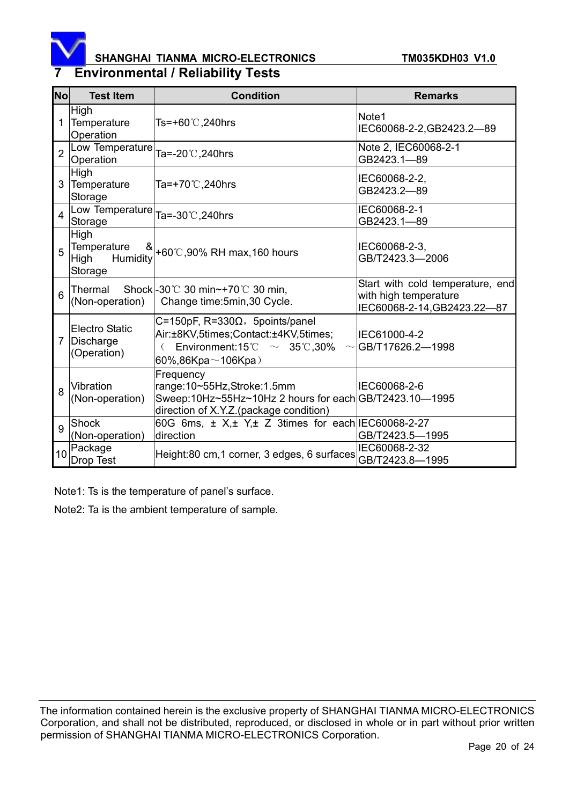

# **7 Environmental / Reliability Tests**

| No             | <b>Test Item</b>                                        | <b>Condition</b>                                                                                                                               | <b>Remarks</b>                                                                           |
|----------------|---------------------------------------------------------|------------------------------------------------------------------------------------------------------------------------------------------------|------------------------------------------------------------------------------------------|
|                | High<br>Temperature<br>Operation                        | Ts=+60℃,240hrs                                                                                                                                 | Note1<br>IEC60068-2-2, GB2423.2-89                                                       |
| $\overline{2}$ | Low Temperature<br>Operation                            | Ta=-20℃,240hrs                                                                                                                                 | Note 2, IEC60068-2-1<br>GB2423.1-89                                                      |
| 3              | High<br>Temperature<br>Storage                          | Ta=+70℃,240hrs                                                                                                                                 | IEC60068-2-2,<br>GB2423.2-89                                                             |
|                | Low Temperature<br>Storage                              | Ta=-30°C, 240hrs                                                                                                                               | IEC60068-2-1<br>GB2423.1-89                                                              |
| 5              | High<br>Temperature<br>୪<br>Humidity<br>High<br>Storage | +60℃,90% RH max,160 hours                                                                                                                      | IEC60068-2-3,<br>GB/T2423.3-2006                                                         |
| 6              | Thermal<br>(Non-operation)                              | Shock - 30°C 30 min~+70°C 30 min,<br>Change time: 5min, 30 Cycle.                                                                              | Start with cold temperature, end<br>with high temperature<br>IEC60068-2-14, GB2423.22-87 |
|                | <b>Electro Static</b><br>Discharge<br>(Operation)       | C=150pF, $R=330\Omega$ , 5points/panel<br>Air:±8KV,5times;Contact:±4KV,5times;<br>Environment:15°C $\sim$ 35°C,30%<br>60%,86Kpa $\sim$ 106Kpa) | IEC61000-4-2<br>$\sim$ GB/T17626.2-1998                                                  |
| $\mathsf{a}$   | Vibration<br>(Non-operation)                            | Frequency<br>range:10~55Hz,Stroke:1.5mm<br>Sweep:10Hz~55Hz~10Hz 2 hours for each GB/T2423.10-1995<br>direction of X.Y.Z.(package condition)    | IEC60068-2-6                                                                             |
| 9              | Shock<br>(Non-operation)                                | 60G 6ms, ± X,± Y,± Z 3times for each IEC60068-2-27<br>direction                                                                                | GB/T2423.5-1995                                                                          |
| 10             | Package<br>Drop Test                                    | Height:80 cm,1 corner, 3 edges, 6 surfaces                                                                                                     | IEC60068-2-32<br>GB/T2423.8-1995                                                         |

Note1: Ts is the temperature of panel's surface.

Note2: Ta is the ambient temperature of sample.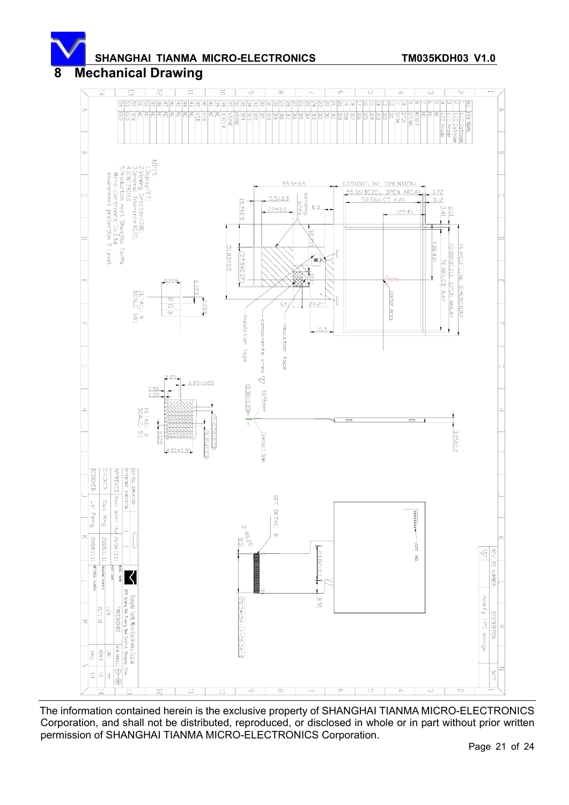

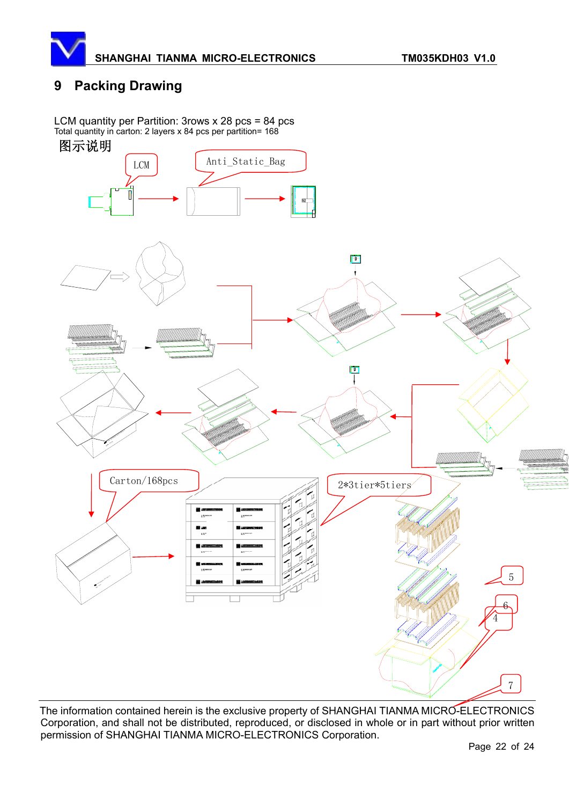

## **9 Packing Drawing**

LCM quantity per Partition: 3rows x 28 pcs = 84 pcs Total quantity in carton: 2 layers x 84 pcs per partition= 168





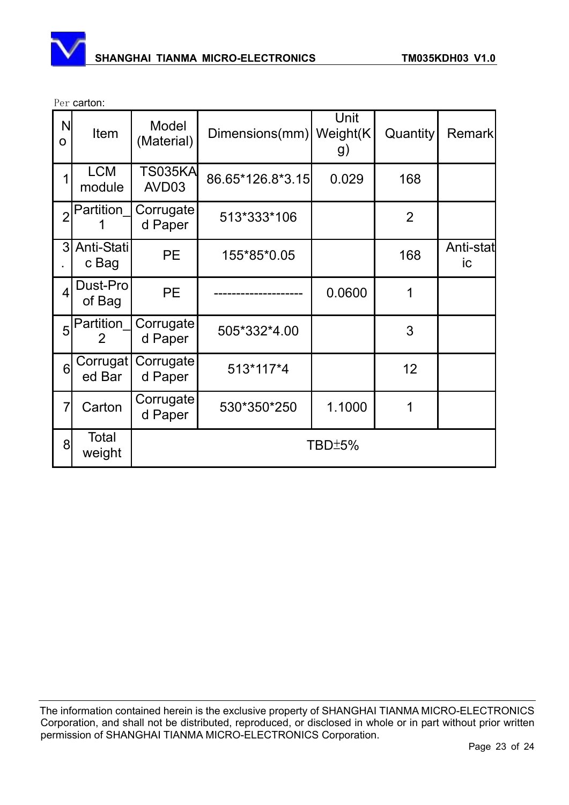

Per carton:

| N<br>$\mathbf O$ | Item                        | Model<br>(Material)     | Dimensions(mm) Weight(K) | Unit<br>g) | Quantity       | <b>Remark</b>   |  |  |
|------------------|-----------------------------|-------------------------|--------------------------|------------|----------------|-----------------|--|--|
| 1                | <b>LCM</b><br>module        | <b>TS035KA</b><br>AVD03 | 86.65*126.8*3.15         | 0.029      | 168            |                 |  |  |
| $\overline{2}$   | Partition                   | Corrugate<br>d Paper    | 513*333*106              |            | $\overline{2}$ |                 |  |  |
| 3                | Anti-Stati<br>c Bag         | <b>PE</b>               | 155*85*0.05              |            | 168            | Anti-stat<br>ic |  |  |
| $\overline{4}$   | Dust-Pro<br>of Bag          | <b>PE</b>               |                          | 0.0600     | 1              |                 |  |  |
| 5                | Partition<br>$\overline{2}$ | Corrugate<br>d Paper    | 505*332*4.00             |            | 3              |                 |  |  |
| 6                | Corrugat<br>ed Bar          | Corrugate<br>d Paper    | 513*117*4                |            | 12             |                 |  |  |
| $\overline{7}$   | Carton                      | Corrugate<br>d Paper    | 530*350*250              | 1.1000     | 1              |                 |  |  |
| 8                | <b>Total</b><br>weight      | TBD±5%                  |                          |            |                |                 |  |  |